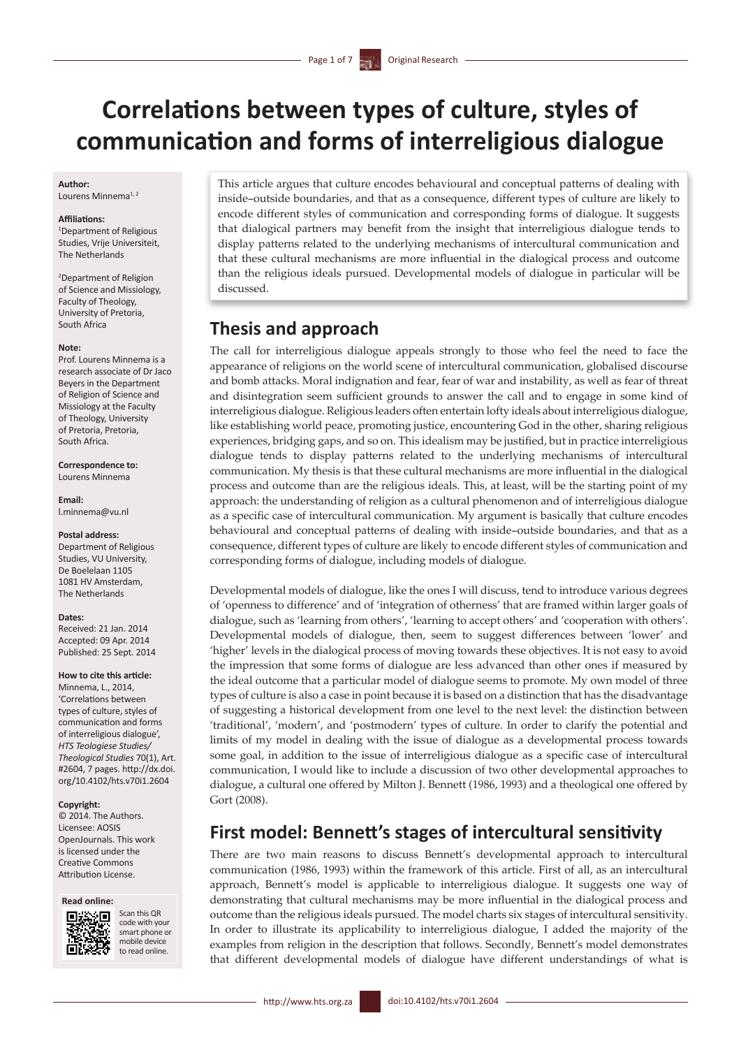# **Correlations between types of culture, styles of communication and forms of interreligious dialogue**

#### **Author:** Lourens Minnema<sup>1, 2</sup>

#### **Affiliations:**

1 Department of Religious Studies, Vrije Universiteit, The Netherlands

2 Department of Religion of Science and Missiology, Faculty of Theology, University of Pretoria, South Africa

#### **Note:**

Prof. Lourens Minnema is a research associate of Dr Jaco Beyers in the Department of Religion of Science and Missiology at the Faculty of Theology, University of Pretoria, Pretoria, South Africa.

**Correspondence to:** Lourens Minnema

**Email:** [l.minnema@vu.nl](mailto:l.minnema@vu.nl)

#### **Postal address:**

Department of Religious Studies, VU University, De Boelelaan 1105 1081 HV Amsterdam, The Netherlands

#### **Dates:**

Received: 21 Jan. 2014 Accepted: 09 Apr. 2014 Published: 25 Sept. 2014

#### **How to cite this article:**

Minnema, L., 2014, 'Correlations between types of culture, styles of communication and forms of interreligious dialogue', *HTS Teologiese Studies/ Theological Studies* 70(1), Art. #2604, 7 pages. [http://dx.doi.](http://dx.doi.org/10.4102/hts.v70i1.2604) [org/10.4102/hts.v70i1.2604](http://dx.doi.org/10.4102/hts.v70i1.2604)

#### **Copyright:**

© 2014. The Authors. Licensee: AOSIS OpenJournals. This work is licensed under the Creative Commons Attribution License.

#### **Read online:**



Scan this OR code with your smart phone or mobile device to read online.

This article argues that culture encodes behavioural and conceptual patterns of dealing with inside–outside boundaries, and that as a consequence, different types of culture are likely to encode different styles of communication and corresponding forms of dialogue. It suggests that dialogical partners may benefit from the insight that interreligious dialogue tends to display patterns related to the underlying mechanisms of intercultural communication and that these cultural mechanisms are more influential in the dialogical process and outcome than the religious ideals pursued. Developmental models of dialogue in particular will be discussed.

## **Thesis and approach**

The call for interreligious dialogue appeals strongly to those who feel the need to face the appearance of religions on the world scene of intercultural communication, globalised discourse and bomb attacks. Moral indignation and fear, fear of war and instability, as well as fear of threat and disintegration seem sufficient grounds to answer the call and to engage in some kind of interreligious dialogue. Religious leaders often entertain lofty ideals about interreligious dialogue, like establishing world peace, promoting justice, encountering God in the other, sharing religious experiences, bridging gaps, and so on. This idealism may be justified, but in practice interreligious dialogue tends to display patterns related to the underlying mechanisms of intercultural communication. My thesis is that these cultural mechanisms are more influential in the dialogical process and outcome than are the religious ideals. This, at least, will be the starting point of my approach: the understanding of religion as a cultural phenomenon and of interreligious dialogue as a specific case of intercultural communication. My argument is basically that culture encodes behavioural and conceptual patterns of dealing with inside–outside boundaries, and that as a consequence, different types of culture are likely to encode different styles of communication and corresponding forms of dialogue, including models of dialogue.

Developmental models of dialogue, like the ones I will discuss, tend to introduce various degrees of 'openness to difference' and of 'integration of otherness' that are framed within larger goals of dialogue, such as 'learning from others', 'learning to accept others' and 'cooperation with others'. Developmental models of dialogue, then, seem to suggest differences between 'lower' and 'higher' levels in the dialogical process of moving towards these objectives. It is not easy to avoid the impression that some forms of dialogue are less advanced than other ones if measured by the ideal outcome that a particular model of dialogue seems to promote. My own model of three types of culture is also a case in point because it is based on a distinction that has the disadvantage of suggesting a historical development from one level to the next level: the distinction between 'traditional', 'modern', and 'postmodern' types of culture. In order to clarify the potential and limits of my model in dealing with the issue of dialogue as a developmental process towards some goal, in addition to the issue of interreligious dialogue as a specific case of intercultural communication, I would like to include a discussion of two other developmental approaches to dialogue, a cultural one offered by Milton J. Bennett (1986, 1993) and a theological one offered by Gort (2008).

### **First model: Bennett's stages of intercultural sensitivity**

There are two main reasons to discuss Bennett's developmental approach to intercultural communication (1986, 1993) within the framework of this article. First of all, as an intercultural approach, Bennett's model is applicable to interreligious dialogue. It suggests one way of demonstrating that cultural mechanisms may be more influential in the dialogical process and outcome than the religious ideals pursued. The model charts six stages of intercultural sensitivity. In order to illustrate its applicability to interreligious dialogue, I added the majority of the examples from religion in the description that follows. Secondly, Bennett's model demonstrates that different developmental models of dialogue have different understandings of what is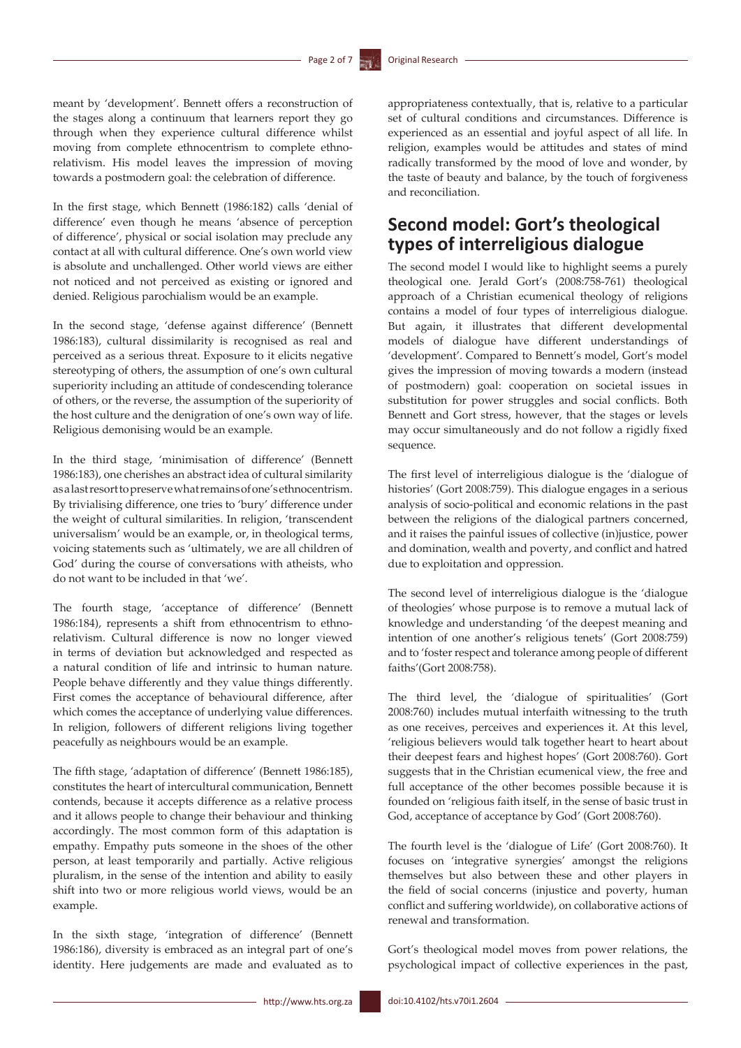meant by 'development'. Bennett offers a reconstruction of the stages along a continuum that learners report they go through when they experience cultural difference whilst moving from complete ethnocentrism to complete ethnorelativism. His model leaves the impression of moving towards a postmodern goal: the celebration of difference.

In the first stage, which Bennett (1986:182) calls 'denial of difference' even though he means 'absence of perception of difference', physical or social isolation may preclude any contact at all with cultural difference. One's own world view is absolute and unchallenged. Other world views are either not noticed and not perceived as existing or ignored and denied. Religious parochialism would be an example.

In the second stage, 'defense against difference' (Bennett 1986:183), cultural dissimilarity is recognised as real and perceived as a serious threat. Exposure to it elicits negative stereotyping of others, the assumption of one's own cultural superiority including an attitude of condescending tolerance of others, or the reverse, the assumption of the superiority of the host culture and the denigration of one's own way of life. Religious demonising would be an example.

In the third stage, 'minimisation of difference' (Bennett 1986:183), one cherishes an abstract idea of cultural similarity as a last resort to preserve what remains of one's ethnocentrism. By trivialising difference, one tries to 'bury' difference under the weight of cultural similarities. In religion, 'transcendent universalism' would be an example, or, in theological terms, voicing statements such as 'ultimately, we are all children of God' during the course of conversations with atheists, who do not want to be included in that 'we'.

The fourth stage, 'acceptance of difference' (Bennett 1986:184), represents a shift from ethnocentrism to ethnorelativism. Cultural difference is now no longer viewed in terms of deviation but acknowledged and respected as a natural condition of life and intrinsic to human nature. People behave differently and they value things differently. First comes the acceptance of behavioural difference, after which comes the acceptance of underlying value differences. In religion, followers of different religions living together peacefully as neighbours would be an example.

The fifth stage, 'adaptation of difference' (Bennett 1986:185), constitutes the heart of intercultural communication, Bennett contends, because it accepts difference as a relative process and it allows people to change their behaviour and thinking accordingly. The most common form of this adaptation is empathy. Empathy puts someone in the shoes of the other person, at least temporarily and partially. Active religious pluralism, in the sense of the intention and ability to easily shift into two or more religious world views, would be an example.

In the sixth stage, 'integration of difference' (Bennett 1986:186), diversity is embraced as an integral part of one's identity. Here judgements are made and evaluated as to

appropriateness contextually, that is, relative to a particular set of cultural conditions and circumstances. Difference is experienced as an essential and joyful aspect of all life. In religion, examples would be attitudes and states of mind radically transformed by the mood of love and wonder, by the taste of beauty and balance, by the touch of forgiveness and reconciliation.

## **Second model: Gort's theological types of interreligious dialogue**

The second model I would like to highlight seems a purely theological one. Jerald Gort's (2008:758-761) theological approach of a Christian ecumenical theology of religions contains a model of four types of interreligious dialogue. But again, it illustrates that different developmental models of dialogue have different understandings of 'development'. Compared to Bennett's model, Gort's model gives the impression of moving towards a modern (instead of postmodern) goal: cooperation on societal issues in substitution for power struggles and social conflicts. Both Bennett and Gort stress, however, that the stages or levels may occur simultaneously and do not follow a rigidly fixed sequence.

The first level of interreligious dialogue is the 'dialogue of histories' (Gort 2008:759). This dialogue engages in a serious analysis of socio-political and economic relations in the past between the religions of the dialogical partners concerned, and it raises the painful issues of collective (in)justice, power and domination, wealth and poverty, and conflict and hatred due to exploitation and oppression.

The second level of interreligious dialogue is the 'dialogue of theologies' whose purpose is to remove a mutual lack of knowledge and understanding 'of the deepest meaning and intention of one another's religious tenets' (Gort 2008:759) and to 'foster respect and tolerance among people of different faiths'(Gort 2008:758).

The third level, the 'dialogue of spiritualities' (Gort 2008:760) includes mutual interfaith witnessing to the truth as one receives, perceives and experiences it. At this level, 'religious believers would talk together heart to heart about their deepest fears and highest hopes' (Gort 2008:760). Gort suggests that in the Christian ecumenical view, the free and full acceptance of the other becomes possible because it is founded on 'religious faith itself, in the sense of basic trust in God, acceptance of acceptance by God' (Gort 2008:760).

The fourth level is the 'dialogue of Life' (Gort 2008:760). It focuses on 'integrative synergies' amongst the religions themselves but also between these and other players in the field of social concerns (injustice and poverty, human conflict and suffering worldwide), on collaborative actions of renewal and transformation.

Gort's theological model moves from power relations, the psychological impact of collective experiences in the past,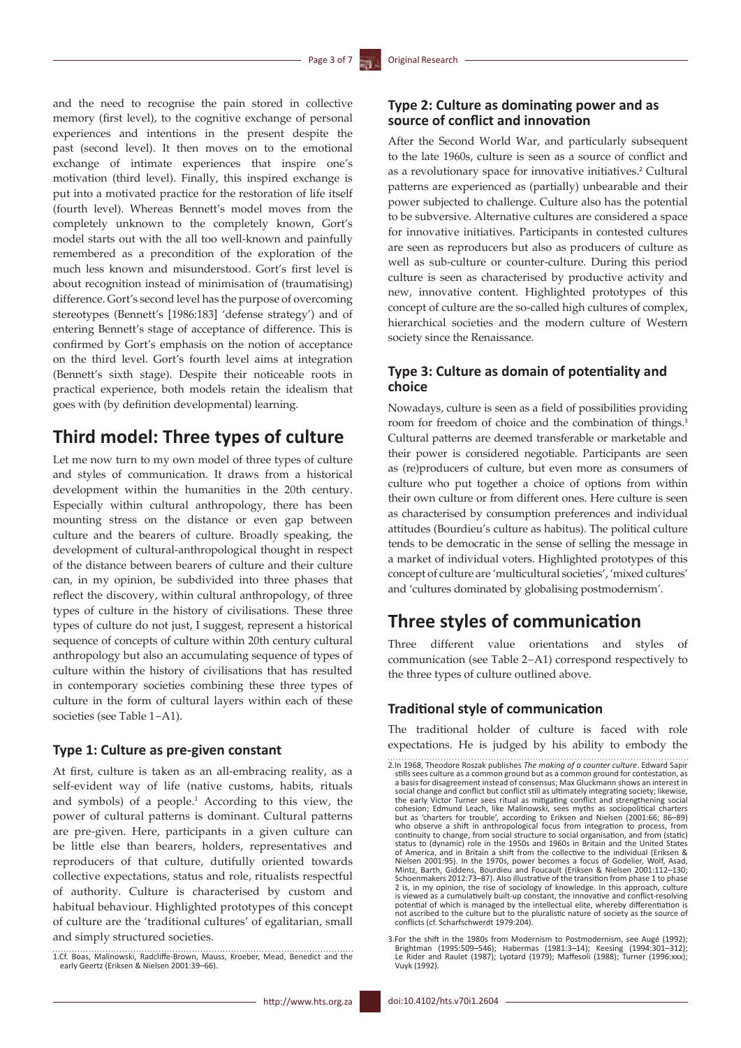and the need to recognise the pain stored in collective memory (first level), to the cognitive exchange of personal experiences and intentions in the present despite the past (second level). It then moves on to the emotional exchange of intimate experiences that inspire one's motivation (third level). Finally, this inspired exchange is put into a motivated practice for the restoration of life itself (fourth level). Whereas Bennett's model moves from the completely unknown to the completely known, Gort's model starts out with the all too well-known and painfully remembered as a precondition of the exploration of the much less known and misunderstood. Gort's first level is about recognition instead of minimisation of (traumatising) difference. Gort's second level has the purpose of overcoming stereotypes (Bennett's [1986:183] 'defense strategy') and of entering Bennett's stage of acceptance of difference. This is confirmed by Gort's emphasis on the notion of acceptance on the third level. Gort's fourth level aims at integration (Bennett's sixth stage). Despite their noticeable roots in practical experience, both models retain the idealism that goes with (by definition developmental) learning.

## **Third model: Three types of culture**

Let me now turn to my own model of three types of culture and styles of communication. It draws from a historical development within the humanities in the 20th century. Especially within cultural anthropology, there has been mounting stress on the distance or even gap between culture and the bearers of culture. Broadly speaking, the development of cultural-anthropological thought in respect of the distance between bearers of culture and their culture can, in my opinion, be subdivided into three phases that reflect the discovery, within cultural anthropology, of three types of culture in the history of civilisations. These three types of culture do not just, I suggest, represent a historical sequence of concepts of culture within 20th century cultural anthropology but also an accumulating sequence of types of culture within the history of civilisations that has resulted in contemporary societies combining these three types of culture in the form of cultural layers within each of these societies (see Table 1−A1).

#### **Type 1: Culture as pre-given constant**

At first, culture is taken as an all-embracing reality, as a self-evident way of life (native customs, habits, rituals and symbols) of a people.<sup>1</sup> According to this view, the power of cultural patterns is dominant. Cultural patterns are pre-given. Here, participants in a given culture can be little else than bearers, holders, representatives and reproducers of that culture, dutifully oriented towards collective expectations, status and role, ritualists respectful of authority. Culture is characterised by custom and habitual behaviour. Highlighted prototypes of this concept of culture are the 'traditional cultures' of egalitarian, small and simply structured societies.

### **Type 2: Culture as dominating power and as source of conflict and innovation**

After the Second World War, and particularly subsequent to the late 1960s, culture is seen as a source of conflict and as a revolutionary space for innovative initiatives.<sup>2</sup> Cultural patterns are experienced as (partially) unbearable and their power subjected to challenge. Culture also has the potential to be subversive. Alternative cultures are considered a space for innovative initiatives. Participants in contested cultures are seen as reproducers but also as producers of culture as well as sub-culture or counter-culture. During this period culture is seen as characterised by productive activity and new, innovative content. Highlighted prototypes of this concept of culture are the so-called high cultures of complex, hierarchical societies and the modern culture of Western society since the Renaissance.

### **Type 3: Culture as domain of potentiality and choice**

Nowadays, culture is seen as a field of possibilities providing room for freedom of choice and the combination of things.<sup>3</sup> Cultural patterns are deemed transferable or marketable and their power is considered negotiable. Participants are seen as (re)producers of culture, but even more as consumers of culture who put together a choice of options from within their own culture or from different ones. Here culture is seen as characterised by consumption preferences and individual attitudes (Bourdieu's culture as habitus). The political culture tends to be democratic in the sense of selling the message in a market of individual voters. Highlighted prototypes of this concept of culture are 'multicultural societies', 'mixed cultures' and 'cultures dominated by globalising postmodernism'.

## **Three styles of communication**

Three different value orientations and styles of communication (see Table 2−A1) correspond respectively to the three types of culture outlined above.

### **Traditional style of communication**

The traditional holder of culture is faced with role expectations. He is judged by his ability to embody the

<sup>1.</sup>Cf. Boas, Malinowski, Radcliffe-Brown, Mauss, Kroeber, Mead, Benedict and the early Geertz (Eriksen & Nielsen 2001:39–66).

<sup>2.</sup>In 1968, Theodore Roszak publishes *The making of a counter culture*. Edward Sapir stills sees culture as a common ground but as a common ground for contestation, as a basis for disagreement instead of consensus; Max Gluckmann shows an interest in social change and conflict but conflict still as ultimately integrating society; likewise, the early Victor Turner sees ritual as mitigating conflict and strengthening social cohesion; Edmund Leach, like Malinowski, sees myths as sociopolitical charters but as 'charters for trouble', according to Eriksen and Nielsen (2001:66; 86–89) who observe a shift in anthropological focus from integration to process, from<br>continuity to change, from social structure to social organisation, and from (static)<br>status to (dynamic) role in the 1950s and 1960s in Britai Nielsen 2001:95). In the 1970s, power becomes a focus of Godelier, Wolf, Asad, Mintz, Barth, Giddens, Bourdieu and Foucault (Eriksen & Nielsen 2001:112–130; Schoenmakers 2012:73–87). Also illustrative of the transition from phase 1 to phase 2 is, in my opinion, the rise of sociology of knowledge. In this approach, culture is viewed as a cumulatively built-up constant, the innovative and conflict-resolving<br>potential of which is managed by the intellectual elite, whereby differentiation is<br>not ascribed to the culture but to the pluralistic na

<sup>3.</sup>For the shift in the 1980s from Modernism to Postmodernism, see Augé (1992);<br>Brightman (1995:509–546); Habermas (1981:3–14); Keesing (1994:301)<br>Le Rider and Raulet (1987); Lyotard (1979); Maffesoli (1988); Turner (1996:x Vuyk (1992).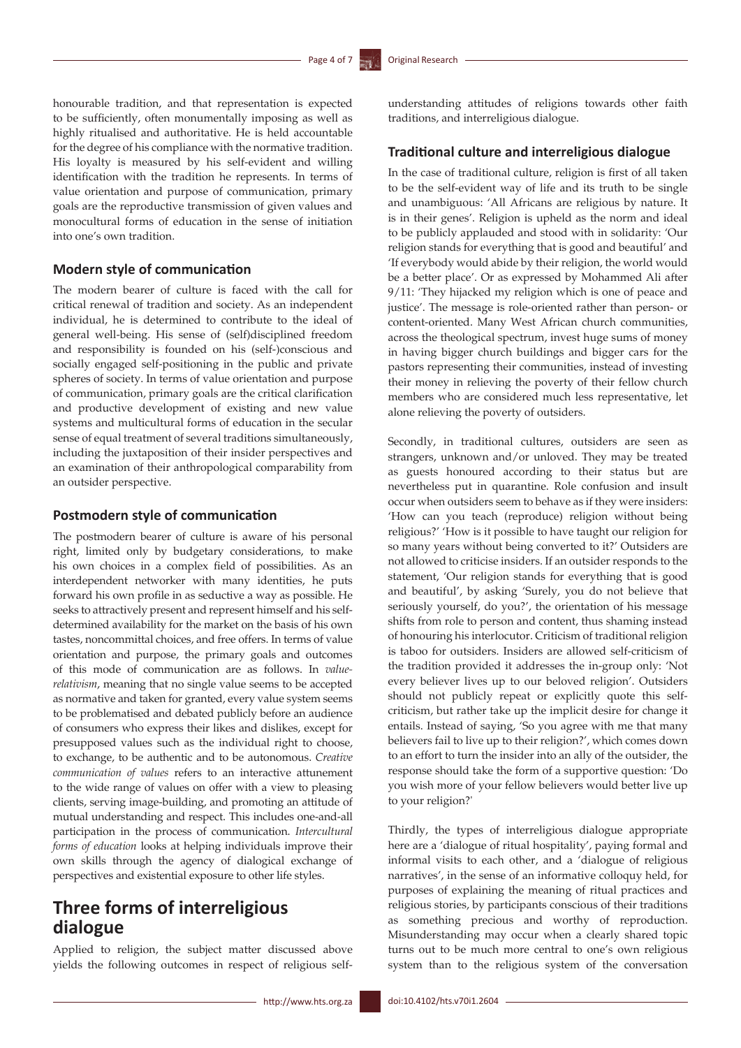honourable tradition, and that representation is expected to be sufficiently, often monumentally imposing as well as highly ritualised and authoritative. He is held accountable for the degree of his compliance with the normative tradition. His loyalty is measured by his self-evident and willing identification with the tradition he represents. In terms of value orientation and purpose of communication, primary goals are the reproductive transmission of given values and monocultural forms of education in the sense of initiation into one's own tradition.

### **Modern style of communication**

The modern bearer of culture is faced with the call for critical renewal of tradition and society. As an independent individual, he is determined to contribute to the ideal of general well-being. His sense of (self)disciplined freedom and responsibility is founded on his (self-)conscious and socially engaged self-positioning in the public and private spheres of society. In terms of value orientation and purpose of communication, primary goals are the critical clarification and productive development of existing and new value systems and multicultural forms of education in the secular sense of equal treatment of several traditions simultaneously, including the juxtaposition of their insider perspectives and an examination of their anthropological comparability from an outsider perspective.

#### **Postmodern style of communication**

The postmodern bearer of culture is aware of his personal right, limited only by budgetary considerations, to make his own choices in a complex field of possibilities. As an interdependent networker with many identities, he puts forward his own profile in as seductive a way as possible. He seeks to attractively present and represent himself and his selfdetermined availability for the market on the basis of his own tastes, noncommittal choices, and free offers. In terms of value orientation and purpose, the primary goals and outcomes of this mode of communication are as follows. In *valuerelativism*, meaning that no single value seems to be accepted as normative and taken for granted, every value system seems to be problematised and debated publicly before an audience of consumers who express their likes and dislikes, except for presupposed values such as the individual right to choose, to exchange, to be authentic and to be autonomous. *Creative communication of values* refers to an interactive attunement to the wide range of values on offer with a view to pleasing clients, serving image-building, and promoting an attitude of mutual understanding and respect. This includes one-and-all participation in the process of communication. *Intercultural forms of education* looks at helping individuals improve their own skills through the agency of dialogical exchange of perspectives and existential exposure to other life styles.

## **Three forms of interreligious dialogue**

Applied to religion, the subject matter discussed above yields the following outcomes in respect of religious selfunderstanding attitudes of religions towards other faith traditions, and interreligious dialogue.

### **Traditional culture and interreligious dialogue**

In the case of traditional culture, religion is first of all taken to be the self-evident way of life and its truth to be single and unambiguous: 'All Africans are religious by nature. It is in their genes'. Religion is upheld as the norm and ideal to be publicly applauded and stood with in solidarity: 'Our religion stands for everything that is good and beautiful' and 'If everybody would abide by their religion, the world would be a better place'. Or as expressed by Mohammed Ali after 9/11: 'They hijacked my religion which is one of peace and justice'. The message is role-oriented rather than person- or content-oriented. Many West African church communities, across the theological spectrum, invest huge sums of money in having bigger church buildings and bigger cars for the pastors representing their communities, instead of investing their money in relieving the poverty of their fellow church members who are considered much less representative, let alone relieving the poverty of outsiders.

Secondly, in traditional cultures, outsiders are seen as strangers, unknown and/or unloved. They may be treated as guests honoured according to their status but are nevertheless put in quarantine. Role confusion and insult occur when outsiders seem to behave as if they were insiders: 'How can you teach (reproduce) religion without being religious?' 'How is it possible to have taught our religion for so many years without being converted to it?' Outsiders are not allowed to criticise insiders. If an outsider responds to the statement, 'Our religion stands for everything that is good and beautiful', by asking 'Surely, you do not believe that seriously yourself, do you?', the orientation of his message shifts from role to person and content, thus shaming instead of honouring his interlocutor. Criticism of traditional religion is taboo for outsiders. Insiders are allowed self-criticism of the tradition provided it addresses the in-group only: 'Not every believer lives up to our beloved religion'. Outsiders should not publicly repeat or explicitly quote this selfcriticism, but rather take up the implicit desire for change it entails. Instead of saying, 'So you agree with me that many believers fail to live up to their religion?', which comes down to an effort to turn the insider into an ally of the outsider, the response should take the form of a supportive question: 'Do you wish more of your fellow believers would better live up to your religion?'

Thirdly, the types of interreligious dialogue appropriate here are a 'dialogue of ritual hospitality', paying formal and informal visits to each other, and a 'dialogue of religious narratives', in the sense of an informative colloquy held, for purposes of explaining the meaning of ritual practices and religious stories, by participants conscious of their traditions as something precious and worthy of reproduction. Misunderstanding may occur when a clearly shared topic turns out to be much more central to one's own religious system than to the religious system of the conversation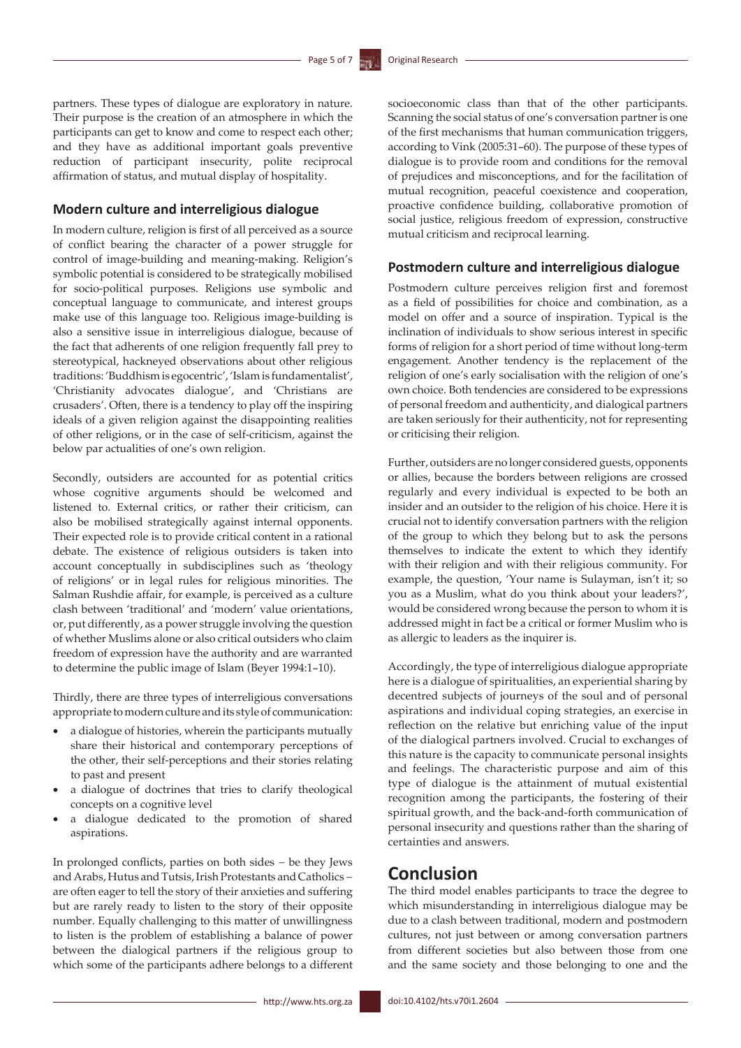partners. These types of dialogue are exploratory in nature. Their purpose is the creation of an atmosphere in which the participants can get to know and come to respect each other; and they have as additional important goals preventive reduction of participant insecurity, polite reciprocal affirmation of status, and mutual display of hospitality.

### **Modern culture and interreligious dialogue**

In modern culture, religion is first of all perceived as a source of conflict bearing the character of a power struggle for control of image-building and meaning-making. Religion's symbolic potential is considered to be strategically mobilised for socio-political purposes. Religions use symbolic and conceptual language to communicate, and interest groups make use of this language too. Religious image-building is also a sensitive issue in interreligious dialogue, because of the fact that adherents of one religion frequently fall prey to stereotypical, hackneyed observations about other religious traditions: 'Buddhism is egocentric', 'Islam is fundamentalist', 'Christianity advocates dialogue', and 'Christians are crusaders'. Often, there is a tendency to play off the inspiring ideals of a given religion against the disappointing realities of other religions, or in the case of self-criticism, against the below par actualities of one's own religion.

Secondly, outsiders are accounted for as potential critics whose cognitive arguments should be welcomed and listened to. External critics, or rather their criticism, can also be mobilised strategically against internal opponents. Their expected role is to provide critical content in a rational debate. The existence of religious outsiders is taken into account conceptually in subdisciplines such as 'theology of religions' or in legal rules for religious minorities. The Salman Rushdie affair, for example, is perceived as a culture clash between 'traditional' and 'modern' value orientations, or, put differently, as a power struggle involving the question of whether Muslims alone or also critical outsiders who claim freedom of expression have the authority and are warranted to determine the public image of Islam (Beyer 1994:1–10).

Thirdly, there are three types of interreligious conversations appropriate to modern culture and its style of communication:

- a dialogue of histories, wherein the participants mutually share their historical and contemporary perceptions of the other, their self-perceptions and their stories relating to past and present
- a dialogue of doctrines that tries to clarify theological concepts on a cognitive level
- a dialogue dedicated to the promotion of shared aspirations.

In prolonged conflicts, parties on both sides − be they Jews and Arabs, Hutus and Tutsis, Irish Protestants and Catholics − are often eager to tell the story of their anxieties and suffering but are rarely ready to listen to the story of their opposite number. Equally challenging to this matter of unwillingness to listen is the problem of establishing a balance of power between the dialogical partners if the religious group to which some of the participants adhere belongs to a different

socioeconomic class than that of the other participants. Scanning the social status of one's conversation partner is one of the first mechanisms that human communication triggers, according to Vink (2005:31–60). The purpose of these types of dialogue is to provide room and conditions for the removal of prejudices and misconceptions, and for the facilitation of mutual recognition, peaceful coexistence and cooperation, proactive confidence building, collaborative promotion of social justice, religious freedom of expression, constructive mutual criticism and reciprocal learning.

#### **Postmodern culture and interreligious dialogue**

Postmodern culture perceives religion first and foremost as a field of possibilities for choice and combination, as a model on offer and a source of inspiration. Typical is the inclination of individuals to show serious interest in specific forms of religion for a short period of time without long-term engagement. Another tendency is the replacement of the religion of one's early socialisation with the religion of one's own choice. Both tendencies are considered to be expressions of personal freedom and authenticity, and dialogical partners are taken seriously for their authenticity, not for representing or criticising their religion.

Further, outsiders are no longer considered guests, opponents or allies, because the borders between religions are crossed regularly and every individual is expected to be both an insider and an outsider to the religion of his choice. Here it is crucial not to identify conversation partners with the religion of the group to which they belong but to ask the persons themselves to indicate the extent to which they identify with their religion and with their religious community. For example, the question, 'Your name is Sulayman, isn't it; so you as a Muslim, what do you think about your leaders?', would be considered wrong because the person to whom it is addressed might in fact be a critical or former Muslim who is as allergic to leaders as the inquirer is.

Accordingly, the type of interreligious dialogue appropriate here is a dialogue of spiritualities, an experiential sharing by decentred subjects of journeys of the soul and of personal aspirations and individual coping strategies, an exercise in reflection on the relative but enriching value of the input of the dialogical partners involved. Crucial to exchanges of this nature is the capacity to communicate personal insights and feelings. The characteristic purpose and aim of this type of dialogue is the attainment of mutual existential recognition among the participants, the fostering of their spiritual growth, and the back-and-forth communication of personal insecurity and questions rather than the sharing of certainties and answers.

### **Conclusion**

The third model enables participants to trace the degree to which misunderstanding in interreligious dialogue may be due to a clash between traditional, modern and postmodern cultures, not just between or among conversation partners from different societies but also between those from one and the same society and those belonging to one and the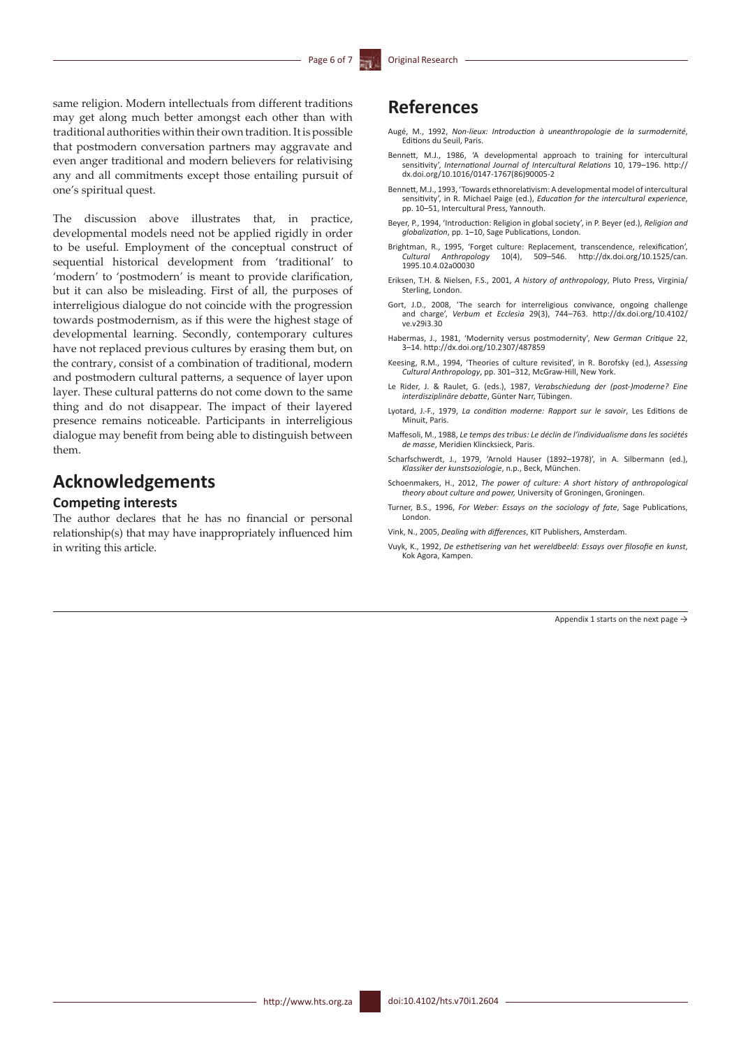same religion. Modern intellectuals from different traditions may get along much better amongst each other than with traditional authorities within their own tradition. It is possible that postmodern conversation partners may aggravate and even anger traditional and modern believers for relativising any and all commitments except those entailing pursuit of one's spiritual quest.

The discussion above illustrates that, in practice, developmental models need not be applied rigidly in order to be useful. Employment of the conceptual construct of sequential historical development from 'traditional' to 'modern' to 'postmodern' is meant to provide clarification, but it can also be misleading. First of all, the purposes of interreligious dialogue do not coincide with the progression towards postmodernism, as if this were the highest stage of developmental learning. Secondly, contemporary cultures have not replaced previous cultures by erasing them but, on the contrary, consist of a combination of traditional, modern and postmodern cultural patterns, a sequence of layer upon layer. These cultural patterns do not come down to the same thing and do not disappear. The impact of their layered presence remains noticeable. Participants in interreligious dialogue may benefit from being able to distinguish between them.

## **Acknowledgements**

### **Competing interests**

The author declares that he has no financial or personal relationship(s) that may have inappropriately influenced him in writing this article.

## **References**

- Augé, M., 1992, *Non-lieux: Introduction à uneanthropologie de la surmodernité*, Editions du Seuil, Paris.
- Bennett, M.J., 1986, 'A developmental approach to training for intercultural sensitivity', *International Journal of Intercultural Relations* 10, 179–196. [http://](http://dx.doi.org/10.1016/0147-1767(86)90005-2) [dx.doi.org/10.1016/0147-1767\(86\)90005-2](http://dx.doi.org/10.1016/0147-1767(86)90005-2)
- Bennett, M.J., 1993, 'Towards ethnorelativism: A developmental model of intercultural sensitivity', in R. Michael Paige (ed.), *Education for the intercultural experience*, pp. 10–51, Intercultural Press, Yannouth.
- Beyer, P., 1994, 'Introduction: Religion in global society', in P. Beyer (ed.), *Religion and globalization*, pp. 1–10, Sage Publications, London.
- Brightman, R., 1995, 'Forget culture: Replacement, transcendence, relexification', Cultural Anthropology 10(4), 509-546. [1995.10.4.02a00030](http://dx.doi.org/10.1525/can.1995.10.4.02a00030)
- Eriksen, T.H. & Nielsen, F.S., 2001, *A history of anthropology*, Pluto Press, Virginia/ Sterling, London.
- Gort, J.D., 2008, 'The search for interreligious convivance, ongoing challenge and charge', *Verbum et Ecclesia* 29(3), 744–763. [http://dx.doi.org/10.4102/](http://dx.doi.org/10.4102/ve.v29i3.30) [ve.v29i3.30](http://dx.doi.org/10.4102/ve.v29i3.30)
- Habermas, J., 1981, 'Modernity versus postmodernity', *New German Critique* 22, 3–14. <http://dx.doi.org/10.2307/487859>
- Keesing, R.M., 1994, 'Theories of culture revisited', in R. Borofsky (ed.), *Assessing Cultural Anthropology*, pp. 301–312, McGraw-Hill, New York.
- Le Rider, J. & Raulet, G. (eds.), 1987, *Verabschiedung der (post-)moderne? Eine interdisziplinäre debatte*, Günter Narr, Tübingen.
- Lyotard, J.-F., 1979, *La condition moderne: Rapport sur le savoir*, Les Editions de Minuit, Paris.
- Maffesoli, M., 1988, *Le temps des tribus: Le déclin de l'individualisme dans les sociétés de masse*, Meridien Klincksieck, Paris.
- Scharfschwerdt, J., 1979, 'Arnold Hauser (1892–1978)', in A. Silbermann (ed.), *Klassiker der kunstsoziologie*, n.p., Beck, München.
- Schoenmakers, H., 2012, *The power of culture: A short history of anthropological theory about culture and power,* University of Groningen, Groningen.
- Turner, B.S., 1996, *For Weber: Essays on the sociology of fate*, Sage Publications, London.
- Vink, N., 2005, *Dealing with differences*, KIT Publishers, Amsterdam.
- Vuyk, K., 1992, *De esthetisering van het wereldbeeld: Essays over filosofie en kunst*, Kok Agora, Kampen.

Appendix 1 starts on the next page  $\rightarrow$